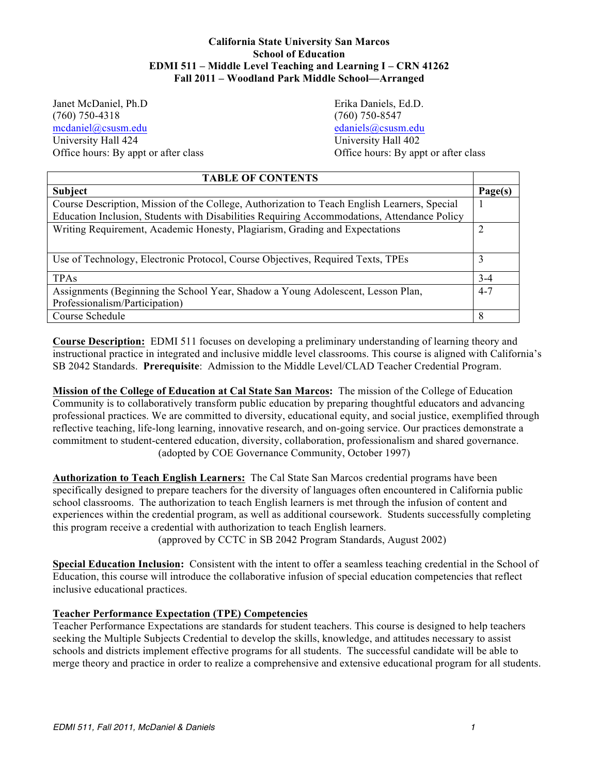# **California State University San Marcos School of Education EDMI 511 – Middle Level Teaching and Learning I – CRN 41262 Fall 2011 – Woodland Park Middle School—Arranged**

Janet McDaniel, Ph.D Erika Daniels, Ed.D. University Hall 424 Office hours: By appt or after class (760) 750-4318 (760) 750-8547 mcdaniel@csusm.edu edaniels@csusm.edu

University Hall 402 Office hours: By appt or after class

| <b>TABLE OF CONTENTS</b>                                                                     |         |  |
|----------------------------------------------------------------------------------------------|---------|--|
| Subject                                                                                      | Page(s) |  |
| Course Description, Mission of the College, Authorization to Teach English Learners, Special |         |  |
| Education Inclusion, Students with Disabilities Requiring Accommodations, Attendance Policy  |         |  |
| Writing Requirement, Academic Honesty, Plagiarism, Grading and Expectations                  |         |  |
|                                                                                              |         |  |
| Use of Technology, Electronic Protocol, Course Objectives, Required Texts, TPEs              | 3       |  |
| <b>TPAs</b>                                                                                  | $3 - 4$ |  |
| Assignments (Beginning the School Year, Shadow a Young Adolescent, Lesson Plan,              | $4 - 7$ |  |
| Professionalism/Participation)                                                               |         |  |
| Course Schedule                                                                              | 8       |  |

 **Course Description:** EDMI 511 focuses on developing a preliminary understanding of learning theory and SB 2042 Standards. **Prerequisite**: Admission to the Middle Level/CLAD Teacher Credential Program. instructional practice in integrated and inclusive middle level classrooms. This course is aligned with California's

 **Mission of the College of Education at Cal State San Marcos:** The mission of the College of Education Community is to collaboratively transform public education by preparing thoughtful educators and advancing professional practices. We are committed to diversity, educational equity, and social justice, exemplified through reflective teaching, life-long learning, innovative research, and on-going service. Our practices demonstrate a commitment to student-centered education, diversity, collaboration, professionalism and shared governance. (adopted by COE Governance Community, October 1997)

 **Authorization to Teach English Learners:** The Cal State San Marcos credential programs have been specifically designed to prepare teachers for the diversity of languages often encountered in California public school classrooms. The authorization to teach English learners is met through the infusion of content and experiences within the credential program, as well as additional coursework. Students successfully completing this program receive a credential with authorization to teach English learners.

(approved by CCTC in SB 2042 Program Standards, August 2002)

 **Special Education Inclusion:** Consistent with the intent to offer a seamless teaching credential in the School of Education, this course will introduce the collaborative infusion of special education competencies that reflect inclusive educational practices.

# **Teacher Performance Expectation (TPE) Competencies**

 Teacher Performance Expectations are standards for student teachers. This course is designed to help teachers seeking the Multiple Subjects Credential to develop the skills, knowledge, and attitudes necessary to assist schools and districts implement effective programs for all students. The successful candidate will be able to merge theory and practice in order to realize a comprehensive and extensive educational program for all students.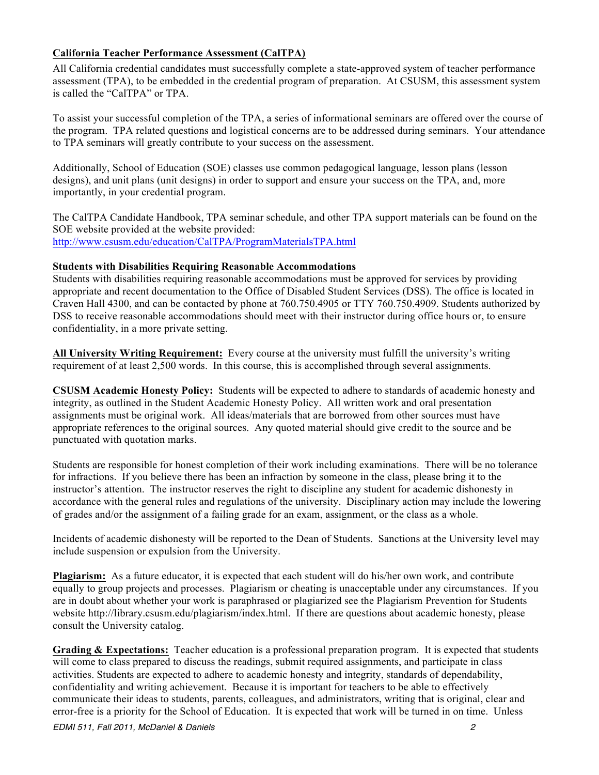# **California Teacher Performance Assessment (CalTPA)**

 All California credential candidates must successfully complete a state-approved system of teacher performance assessment (TPA), to be embedded in the credential program of preparation. At CSUSM, this assessment system is called the "CalTPA" or TPA.

 To assist your successful completion of the TPA, a series of informational seminars are offered over the course of to TPA seminars will greatly contribute to your success on the assessment. the program. TPA related questions and logistical concerns are to be addressed during seminars. Your attendance

 Additionally, School of Education (SOE) classes use common pedagogical language, lesson plans (lesson designs), and unit plans (unit designs) in order to support and ensure your success on the TPA, and, more importantly, in your credential program.

 The CalTPA Candidate Handbook, TPA seminar schedule, and other TPA support materials can be found on the SOE website provided at the website provided: http://www.csusm.edu/education/CalTPA/ProgramMaterialsTPA.html

### **Students with Disabilities Requiring Reasonable Accommodations**

 Students with disabilities requiring reasonable accommodations must be approved for services by providing appropriate and recent documentation to the Office of Disabled Student Services (DSS). The office is located in Craven Hall 4300, and can be contacted by phone at 760.750.4905 or TTY 760.750.4909. Students authorized by DSS to receive reasonable accommodations should meet with their instructor during office hours or, to ensure confidentiality, in a more private setting.

 **All University Writing Requirement:** Every course at the university must fulfill the university's writing requirement of at least 2,500 words. In this course, this is accomplished through several assignments.

**CSUSM Academic Honesty Policy:** Students will be expected to adhere to standards of academic honesty and assignments must be original work. All ideas/materials that are borrowed from other sources must have appropriate references to the original sources. Any quoted material should give credit to the source and be integrity, as outlined in the Student Academic Honesty Policy. All written work and oral presentation punctuated with quotation marks.

 Students are responsible for honest completion of their work including examinations. There will be no tolerance for infractions. If you believe there has been an infraction by someone in the class, please bring it to the instructor's attention. The instructor reserves the right to discipline any student for academic dishonesty in accordance with the general rules and regulations of the university. Disciplinary action may include the lowering of grades and/or the assignment of a failing grade for an exam, assignment, or the class as a whole.

 Incidents of academic dishonesty will be reported to the Dean of Students. Sanctions at the University level may include suspension or expulsion from the University.

**Plagiarism:** As a future educator, it is expected that each student will do his/her own work, and contribute equally to group projects and processes. Plagiarism or cheating is unacceptable under any circumstances. If you are in doubt about whether your work is paraphrased or plagiarized see the Plagiarism Prevention for Students website http://library.csusm.edu/plagiarism/index.html. If there are questions about academic honesty, please consult the University catalog.

Grading & Expectations: Teacher education is a professional preparation program. It is expected that students will come to class prepared to discuss the readings, submit required assignments, and participate in class activities. Students are expected to adhere to academic honesty and integrity, standards of dependability, confidentiality and writing achievement. Because it is important for teachers to be able to effectively communicate their ideas to students, parents, colleagues, and administrators, writing that is original, clear and error-free is a priority for the School of Education. It is expected that work will be turned in on time. Unless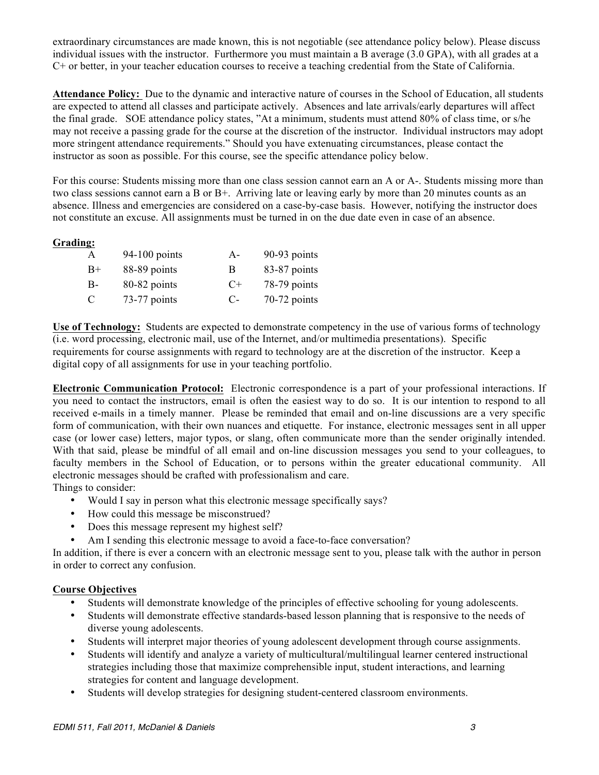extraordinary circumstances are made known, this is not negotiable (see attendance policy below). Please discuss individual issues with the instructor. Furthermore you must maintain a B average (3.0 GPA), with all grades at a C+ or better, in your teacher education courses to receive a teaching credential from the State of California.

 **Attendance Policy:** Due to the dynamic and interactive nature of courses in the School of Education, all students are expected to attend all classes and participate actively. Absences and late arrivals/early departures will affect the final grade. SOE attendance policy states, "At a minimum, students must attend 80% of class time, or s/he may not receive a passing grade for the course at the discretion of the instructor. Individual instructors may adopt more stringent attendance requirements." Should you have extenuating circumstances, please contact the instructor as soon as possible. For this course, see the specific attendance policy below.

 For this course: Students missing more than one class session cannot earn an A or A-. Students missing more than two class sessions cannot earn a B or B+. Arriving late or leaving early by more than 20 minutes counts as an absence. Illness and emergencies are considered on a case-by-case basis. However, notifying the instructor does not constitute an excuse. All assignments must be turned in on the due date even in case of an absence.

# **Grading:**

| A    | $94-100$ points | $A -$ | 90-93 points   |
|------|-----------------|-------|----------------|
| $B+$ | 88-89 points    | В     | 83-87 points   |
| B-   | 80-82 points    | $C+$  | 78-79 points   |
| C    | 73-77 points    | C-    | $70-72$ points |

Use of Technology: Students are expected to demonstrate competency in the use of various forms of technology (i.e. word processing, electronic mail, use of the Internet, and/or multimedia presentations). Specific requirements for course assignments with regard to technology are at the discretion of the instructor. Keep a digital copy of all assignments for use in your teaching portfolio.

 **Electronic Communication Protocol:** Electronic correspondence is a part of your professional interactions. If you need to contact the instructors, email is often the easiest way to do so. It is our intention to respond to all received e-mails in a timely manner. Please be reminded that email and on-line discussions are a very specific form of communication, with their own nuances and etiquette. For instance, electronic messages sent in all upper case (or lower case) letters, major typos, or slang, often communicate more than the sender originally intended. With that said, please be mindful of all email and on-line discussion messages you send to your colleagues, to faculty members in the School of Education, or to persons within the greater educational community. All electronic messages should be crafted with professionalism and care.

Things to consider:

- Would I say in person what this electronic message specifically says?
- How could this message be misconstrued?
- Does this message represent my highest self?
- Am I sending this electronic message to avoid a face-to-face conversation?

 In addition, if there is ever a concern with an electronic message sent to you, please talk with the author in person in order to correct any confusion.

# **Course Objectives**

- • Students will demonstrate knowledge of the principles of effective schooling for young adolescents.
- • Students will demonstrate effective standards-based lesson planning that is responsive to the needs of diverse young adolescents.
- • Students will interpret major theories of young adolescent development through course assignments.
- • Students will identify and analyze a variety of multicultural/multilingual learner centered instructional strategies including those that maximize comprehensible input, student interactions, and learning strategies for content and language development.
- • Students will develop strategies for designing student-centered classroom environments.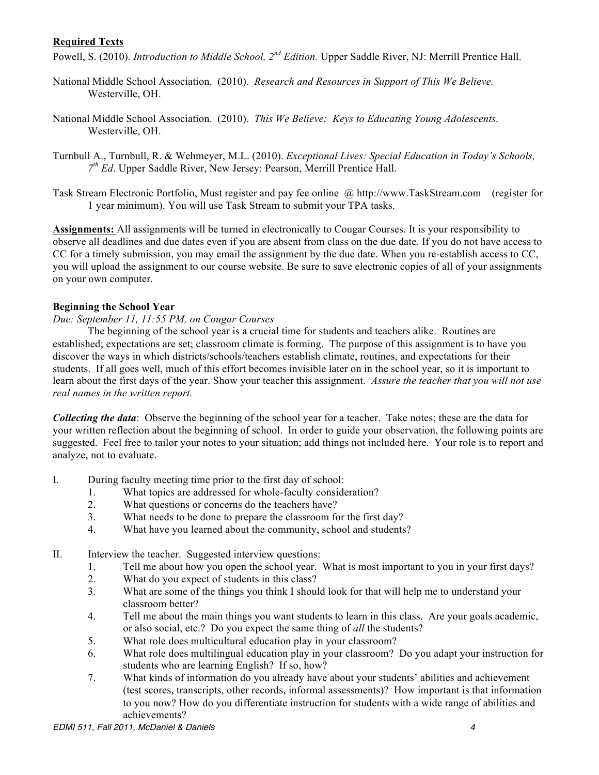# **Required Texts**

Powell, S. (2010). *Introduction to Middle School, 2nd Edition.* Upper Saddle River, NJ: Merrill Prentice Hall.

- National Middle School Association. (2010). *Research and Resources in Support of This We Believe.*  Westerville, OH.
- National Middle School Association. (2010). *This We Believe: Keys to Educating Young Adolescents*. Westerville, OH.
- Turnbull A., Turnbull, R. & Wehmeyer, M.L. (2010). *Exceptional Lives: Special Education in Today's Schools, 7th Ed*. Upper Saddle River, New Jersey: Pearson, Merrill Prentice Hall.
- Task Stream Electronic Portfolio, Must register and pay fee online @ http://www.TaskStream.com (register for 1 year minimum). You will use Task Stream to submit your TPA tasks.

 **Assignments:** All assignments will be turned in electronically to Cougar Courses. It is your responsibility to observe all deadlines and due dates even if you are absent from class on the due date. If you do not have access to CC for a timely submission, you may email the assignment by the due date. When you re-establish access to CC, you will upload the assignment to our course website. Be sure to save electronic copies of all of your assignments on your own computer.

### **Beginning the School Year**

#### *Due: September 11, 11:55 PM, on Cougar Courses*

 The beginning of the school year is a crucial time for students and teachers alike. Routines are established; expectations are set; classroom climate is forming. The purpose of this assignment is to have you discover the ways in which districts/schools/teachers establish climate, routines, and expectations for their students. If all goes well, much of this effort becomes invisible later on in the school year, so it is important to learn about the first days of the year. Show your teacher this assignment. *Assure the teacher that you will not use real names in the written report.* 

*Collecting the data*: Observe the beginning of the school year for a teacher. Take notes; these are the data for your written reflection about the beginning of school. In order to guide your observation, the following points are suggested. Feel free to tailor your notes to your situation; add things not included here. Your role is to report and analyze, not to evaluate.

- I. During faculty meeting time prior to the first day of school:
	- 1. What topics are addressed for whole-faculty consideration?
	- 2. What questions or concerns do the teachers have?
	- 3. What needs to be done to prepare the classroom for the first day?
	- 4. What have you learned about the community, school and students?
- II. Interview the teacher. Suggested interview questions:
	- 1. Tell me about how you open the school year. What is most important to you in your first days?
	- 2. What do you expect of students in this class?
	- 3. What are some of the things you think I should look for that will help me to understand your classroom better?
	- 4. Tell me about the main things you want students to learn in this class. Are your goals academic, or also social, etc.? Do you expect the same thing of *all* the students?
	- 5. What role does multicultural education play in your classroom?
	- 6. What role does multilingual education play in your classroom? Do you adapt your instruction for students who are learning English? If so, how?
	- 7. What kinds of information do you already have about your students' abilities and achievement (test scores, transcripts, other records, informal assessments)? How important is that information to you now? How do you differentiate instruction for students with a wide range of abilities and achievements?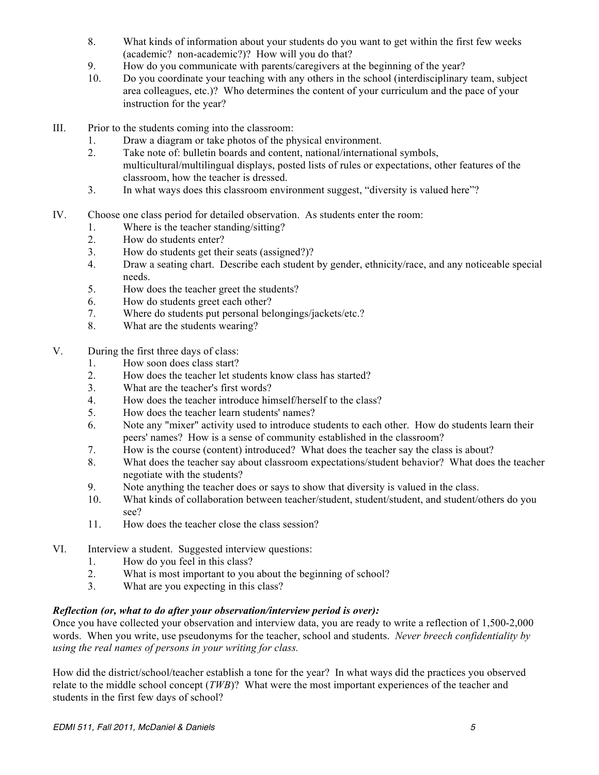- 8. What kinds of information about your students do you want to get within the first few weeks (academic? non-academic?)? How will you do that?
- 9. How do you communicate with parents/caregivers at the beginning of the year?
- 10. Do you coordinate your teaching with any others in the school (interdisciplinary team, subject area colleagues, etc.)? Who determines the content of your curriculum and the pace of your instruction for the year?
- III. Prior to the students coming into the classroom:
	- 1. Draw a diagram or take photos of the physical environment.
	- 2. Take note of: bulletin boards and content, national/international symbols, multicultural/multilingual displays, posted lists of rules or expectations, other features of the classroom, how the teacher is dressed.
	- 3. In what ways does this classroom environment suggest, "diversity is valued here"?
- IV. Choose one class period for detailed observation. As students enter the room:
	- 1. Where is the teacher standing/sitting?
	- 2. How do students enter?
	- 3. How do students get their seats (assigned?)?
	- 4. Draw a seating chart. Describe each student by gender, ethnicity/race, and any noticeable special needs.
	- 5. How does the teacher greet the students?
	- 6. How do students greet each other?
	- 7. Where do students put personal belongings/jackets/etc.?
	- 8. What are the students wearing?
- V. During the first three days of class:
	- 1. How soon does class start?
	- 2. How does the teacher let students know class has started?
	- 3. What are the teacher's first words?
	- 4. How does the teacher introduce himself/herself to the class?
	- 5. How does the teacher learn students' names?
	- 6. Note any "mixer" activity used to introduce students to each other. How do students learn their peers' names? How is a sense of community established in the classroom?
	- 7. How is the course (content) introduced? What does the teacher say the class is about?
	- 8. What does the teacher say about classroom expectations/student behavior? What does the teacher negotiate with the students?
	- 9. Note anything the teacher does or says to show that diversity is valued in the class.
	- 10. What kinds of collaboration between teacher/student, student/student, and student/others do you see?
	- 11. How does the teacher close the class session?
- VI. Interview a student. Suggested interview questions:
	- 1. How do you feel in this class?
	- 2. What is most important to you about the beginning of school?
	- 3. What are you expecting in this class?

### *Reflection (or, what to do after your observation/interview period is over):*

 Once you have collected your observation and interview data, you are ready to write a reflection of 1,500-2,000 words. When you write, use pseudonyms for the teacher, school and students. *Never breech confidentiality by using the real names of persons in your writing for class.* 

 How did the district/school/teacher establish a tone for the year? In what ways did the practices you observed relate to the middle school concept (*TWB*)? What were the most important experiences of the teacher and students in the first few days of school?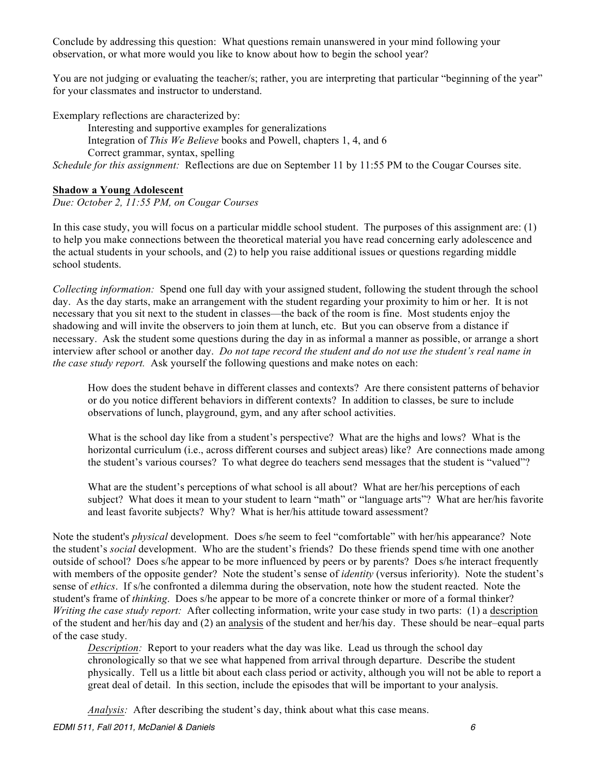Conclude by addressing this question: What questions remain unanswered in your mind following your observation, or what more would you like to know about how to begin the school year?

You are not judging or evaluating the teacher/s; rather, you are interpreting that particular "beginning of the year" for your classmates and instructor to understand.

Exemplary reflections are characterized by:

 Interesting and supportive examples for generalizations Integration of *This We Believe* books and Powell, chapters 1, 4, and 6 Correct grammar, syntax, spelling  *Schedule for this assignment:* Reflections are due on September 11 by 11:55 PM to the Cougar Courses site.

## **Shadow a Young Adolescent**

 *Due: October 2, 11:55 PM, on Cougar Courses* 

 In this case study, you will focus on a particular middle school student. The purposes of this assignment are: (1) the actual students in your schools, and (2) to help you raise additional issues or questions regarding middle to help you make connections between the theoretical material you have read concerning early adolescence and school students.

 *Collecting information:* Spend one full day with your assigned student, following the student through the school day. As the day starts, make an arrangement with the student regarding your proximity to him or her. It is not necessary that you sit next to the student in classes—the back of the room is fine. Most students enjoy the shadowing and will invite the observers to join them at lunch, etc. But you can observe from a distance if necessary. Ask the student some questions during the day in as informal a manner as possible, or arrange a short  interview after school or another day. *Do not tape record the student and do not use the student's real name in the case study report.* Ask yourself the following questions and make notes on each:

 How does the student behave in different classes and contexts? Are there consistent patterns of behavior or do you notice different behaviors in different contexts? In addition to classes, be sure to include observations of lunch, playground, gym, and any after school activities.

 What is the school day like from a student's perspective? What are the highs and lows? What is the horizontal curriculum (i.e., across different courses and subject areas) like? Are connections made among the student's various courses? To what degree do teachers send messages that the student is "valued"?

 What are the student's perceptions of what school is all about? What are her/his perceptions of each subject? What does it mean to your student to learn "math" or "language arts"? What are her/his favorite and least favorite subjects? Why? What is her/his attitude toward assessment?

 Note the student's *physical* development. Does s/he seem to feel "comfortable" with her/his appearance? Note the student's *social* development. Who are the student's friends? Do these friends spend time with one another outside of school? Does s/he appear to be more influenced by peers or by parents? Does s/he interact frequently with members of the opposite gender? Note the student's sense of *identity* (versus inferiority). Note the student's sense of *ethics*. If s/he confronted a dilemma during the observation, note how the student reacted. Note the student's frame of *thinking*. Does s/he appear to be more of a concrete thinker or more of a formal thinker? Writing the case study report: After collecting information, write your case study in two parts: (1) a description of the student and her/his day and (2) an analysis of the student and her/his day. These should be near–equal parts of the case study.

 *Description:* Report to your readers what the day was like. Lead us through the school day chronologically so that we see what happened from arrival through departure. Describe the student physically. Tell us a little bit about each class period or activity, although you will not be able to report a great deal of detail. In this section, include the episodes that will be important to your analysis.

*Analysis:* After describing the student's day, think about what this case means.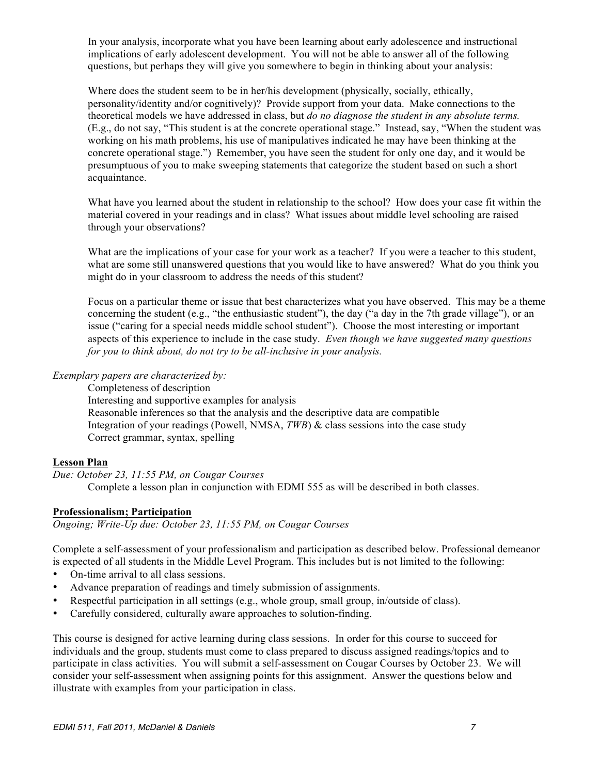In your analysis, incorporate what you have been learning about early adolescence and instructional questions, but perhaps they will give you somewhere to begin in thinking about your analysis: implications of early adolescent development. You will not be able to answer all of the following

 Where does the student seem to be in her/his development (physically, socially, ethically, personality/identity and/or cognitively)? Provide support from your data. Make connections to the  theoretical models we have addressed in class, but *do no diagnose the student in any absolute terms.*  (E.g., do not say, "This student is at the concrete operational stage." Instead, say, "When the student was working on his math problems, his use of manipulatives indicated he may have been thinking at the concrete operational stage.") Remember, you have seen the student for only one day, and it would be presumptuous of you to make sweeping statements that categorize the student based on such a short acquaintance.

acquaintance.<br>What have you learned about the student in relationship to the school? How does your case fit within the material covered in your readings and in class? What issues about middle level schooling are raised through your observations?

through your observations?<br>What are the implications of your case for your work as a teacher? If you were a teacher to this student, what are some still unanswered questions that you would like to have answered? What do you think you might do in your classroom to address the needs of this student?

 Focus on a particular theme or issue that best characterizes what you have observed. This may be a theme concerning the student (e.g., "the enthusiastic student"), the day ("a day in the 7th grade village"), or an aspects of this experience to include in the case study. *Even though we have suggested many questions*  issue ("caring for a special needs middle school student"). Choose the most interesting or important *for you to think about, do not try to be all-inclusive in your analysis.* 

### *Exemplary papers are characterized by:*

 Completeness of description Interesting and supportive examples for analysis Reasonable inferences so that the analysis and the descriptive data are compatible Integration of your readings (Powell, NMSA, *TWB*) & class sessions into the case study Correct grammar, syntax, spelling

## **Lesson Plan**

 *Due: October 23, 11:55 PM, on Cougar Courses*  Complete a lesson plan in conjunction with EDMI 555 as will be described in both classes.

### **Professionalism; Participation**

 *Ongoing; Write-Up due: October 23, 11:55 PM, on Cougar Courses* 

 Complete a self-assessment of your professionalism and participation as described below. Professional demeanor is expected of all students in the Middle Level Program. This includes but is not limited to the following:

- On-time arrival to all class sessions.
- Advance preparation of readings and timely submission of assignments.
- Respectful participation in all settings (e.g., whole group, small group, in/outside of class).
- Carefully considered, culturally aware approaches to solution-finding.

 This course is designed for active learning during class sessions. In order for this course to succeed for individuals and the group, students must come to class prepared to discuss assigned readings/topics and to participate in class activities. You will submit a self-assessment on Cougar Courses by October 23. We will consider your self-assessment when assigning points for this assignment. Answer the questions below and illustrate with examples from your participation in class.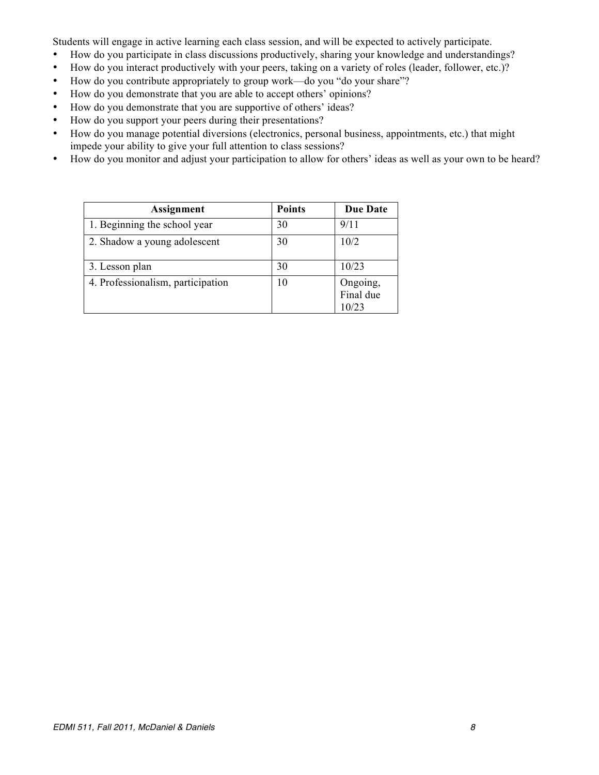Students will engage in active learning each class session, and will be expected to actively participate.

- • How do you participate in class discussions productively, sharing your knowledge and understandings?
- How do you interact productively with your peers, taking on a variety of roles (leader, follower, etc.)?
- How do you contribute appropriately to group work—do you "do your share"?
- • How do you demonstrate that you are able to accept others' opinions?
- • How do you demonstrate that you are supportive of others' ideas?
- How do you support your peers during their presentations?
- • How do you manage potential diversions (electronics, personal business, appointments, etc.) that might impede your ability to give your full attention to class sessions?
- • How do you monitor and adjust your participation to allow for others' ideas as well as your own to be heard?

| Assignment                        | <b>Points</b> | <b>Due Date</b>                |
|-----------------------------------|---------------|--------------------------------|
| 1. Beginning the school year      | 30            | 9/11                           |
| 2. Shadow a young adolescent      | 30            | 10/2                           |
| 3. Lesson plan                    | 30            | 10/23                          |
| 4. Professionalism, participation | 10            | Ongoing,<br>Final due<br>10/23 |